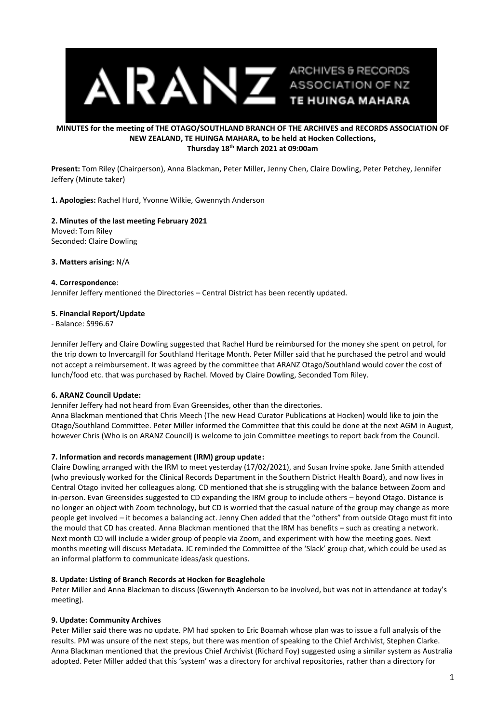

# **MINUTES for the meeting of THE OTAGO/SOUTHLAND BRANCH OF THE ARCHIVES and RECORDS ASSOCIATION OF NEW ZEALAND, TE HUINGA MAHARA, to be held at Hocken Collections, Thursday 18th March 2021 at 09:00am**

**Present:** Tom Riley (Chairperson), Anna Blackman, Peter Miller, Jenny Chen, Claire Dowling, Peter Petchey, Jennifer Jeffery (Minute taker)

**1. Apologies:** Rachel Hurd, Yvonne Wilkie, Gwennyth Anderson

# **2. Minutes of the last meeting February 2021** Moved: Tom Riley Seconded: Claire Dowling

**3. Matters arising:** N/A

## **4. Correspondence**:

Jennifer Jeffery mentioned the Directories – Central District has been recently updated.

## **5. Financial Report/Update**

- Balance: \$996.67

Jennifer Jeffery and Claire Dowling suggested that Rachel Hurd be reimbursed for the money she spent on petrol, for the trip down to Invercargill for Southland Heritage Month. Peter Miller said that he purchased the petrol and would not accept a reimbursement. It was agreed by the committee that ARANZ Otago/Southland would cover the cost of lunch/food etc. that was purchased by Rachel. Moved by Claire Dowling, Seconded Tom Riley.

## **6. ARANZ Council Update:**

Jennifer Jeffery had not heard from Evan Greensides, other than the directories.

Anna Blackman mentioned that Chris Meech (The new Head Curator Publications at Hocken) would like to join the Otago/Southland Committee. Peter Miller informed the Committee that this could be done at the next AGM in August, however Chris (Who is on ARANZ Council) is welcome to join Committee meetings to report back from the Council.

# **7. Information and records management (IRM) group update:**

Claire Dowling arranged with the IRM to meet yesterday (17/02/2021), and Susan Irvine spoke. Jane Smith attended (who previously worked for the Clinical Records Department in the Southern District Health Board), and now lives in Central Otago invited her colleagues along. CD mentioned that she is struggling with the balance between Zoom and in-person. Evan Greensides suggested to CD expanding the IRM group to include others – beyond Otago. Distance is no longer an object with Zoom technology, but CD is worried that the casual nature of the group may change as more people get involved – it becomes a balancing act. Jenny Chen added that the "others" from outside Otago must fit into the mould that CD has created. Anna Blackman mentioned that the IRM has benefits – such as creating a network. Next month CD will include a wider group of people via Zoom, and experiment with how the meeting goes. Next months meeting will discuss Metadata. JC reminded the Committee of the 'Slack' group chat, which could be used as an informal platform to communicate ideas/ask questions.

## **8. Update: Listing of Branch Records at Hocken for Beaglehole**

Peter Miller and Anna Blackman to discuss (Gwennyth Anderson to be involved, but was not in attendance at today's meeting).

## **9. Update: Community Archives**

Peter Miller said there was no update. PM had spoken to Eric Boamah whose plan was to issue a full analysis of the results. PM was unsure of the next steps, but there was mention of speaking to the Chief Archivist, Stephen Clarke. Anna Blackman mentioned that the previous Chief Archivist (Richard Foy) suggested using a similar system as Australia adopted. Peter Miller added that this 'system' was a directory for archival repositories, rather than a directory for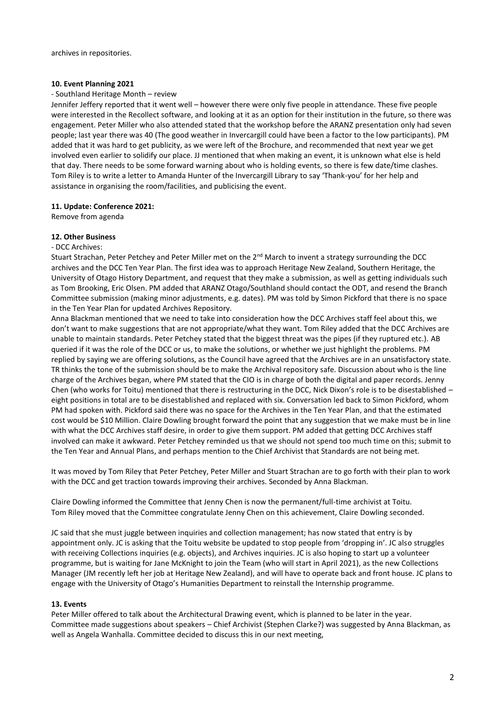## **10. Event Planning 2021**

#### - Southland Heritage Month – review

Jennifer Jeffery reported that it went well – however there were only five people in attendance. These five people were interested in the Recollect software, and looking at it as an option for their institution in the future, so there was engagement. Peter Miller who also attended stated that the workshop before the ARANZ presentation only had seven people; last year there was 40 (The good weather in Invercargill could have been a factor to the low participants). PM added that it was hard to get publicity, as we were left of the Brochure, and recommended that next year we get involved even earlier to solidify our place. JJ mentioned that when making an event, it is unknown what else is held that day. There needs to be some forward warning about who is holding events, so there is few date/time clashes. Tom Riley is to write a letter to Amanda Hunter of the Invercargill Library to say 'Thank-you' for her help and assistance in organising the room/facilities, and publicising the event.

#### **11. Update: Conference 2021:**

Remove from agenda

## **12. Other Business**

#### - DCC Archives:

Stuart Strachan, Peter Petchey and Peter Miller met on the 2<sup>nd</sup> March to invent a strategy surrounding the DCC archives and the DCC Ten Year Plan. The first idea was to approach Heritage New Zealand, Southern Heritage, the University of Otago History Department, and request that they make a submission, as well as getting individuals such as Tom Brooking, Eric Olsen. PM added that ARANZ Otago/Southland should contact the ODT, and resend the Branch Committee submission (making minor adjustments, e.g. dates). PM was told by Simon Pickford that there is no space in the Ten Year Plan for updated Archives Repository.

Anna Blackman mentioned that we need to take into consideration how the DCC Archives staff feel about this, we don't want to make suggestions that are not appropriate/what they want. Tom Riley added that the DCC Archives are unable to maintain standards. Peter Petchey stated that the biggest threat was the pipes (if they ruptured etc.). AB queried if it was the role of the DCC or us, to make the solutions, or whether we just highlight the problems. PM replied by saying we are offering solutions, as the Council have agreed that the Archives are in an unsatisfactory state. TR thinks the tone of the submission should be to make the Archival repository safe. Discussion about who is the line charge of the Archives began, where PM stated that the CIO is in charge of both the digital and paper records. Jenny Chen (who works for Toitu) mentioned that there is restructuring in the DCC, Nick Dixon's role is to be disestablished – eight positions in total are to be disestablished and replaced with six. Conversation led back to Simon Pickford, whom PM had spoken with. Pickford said there was no space for the Archives in the Ten Year Plan, and that the estimated cost would be \$10 Million. Claire Dowling brought forward the point that any suggestion that we make must be in line with what the DCC Archives staff desire, in order to give them support. PM added that getting DCC Archives staff involved can make it awkward. Peter Petchey reminded us that we should not spend too much time on this; submit to the Ten Year and Annual Plans, and perhaps mention to the Chief Archivist that Standards are not being met.

It was moved by Tom Riley that Peter Petchey, Peter Miller and Stuart Strachan are to go forth with their plan to work with the DCC and get traction towards improving their archives. Seconded by Anna Blackman.

Claire Dowling informed the Committee that Jenny Chen is now the permanent/full-time archivist at Toitu. Tom Riley moved that the Committee congratulate Jenny Chen on this achievement, Claire Dowling seconded.

JC said that she must juggle between inquiries and collection management; has now stated that entry is by appointment only. JC is asking that the Toitu website be updated to stop people from 'dropping in'. JC also struggles with receiving Collections inquiries (e.g. objects), and Archives inquiries. JC is also hoping to start up a volunteer programme, but is waiting for Jane McKnight to join the Team (who will start in April 2021), as the new Collections Manager (JM recently left her job at Heritage New Zealand), and will have to operate back and front house. JC plans to engage with the University of Otago's Humanities Department to reinstall the Internship programme.

## **13. Events**

Peter Miller offered to talk about the Architectural Drawing event, which is planned to be later in the year. Committee made suggestions about speakers – Chief Archivist (Stephen Clarke?) was suggested by Anna Blackman, as well as Angela Wanhalla. Committee decided to discuss this in our next meeting,